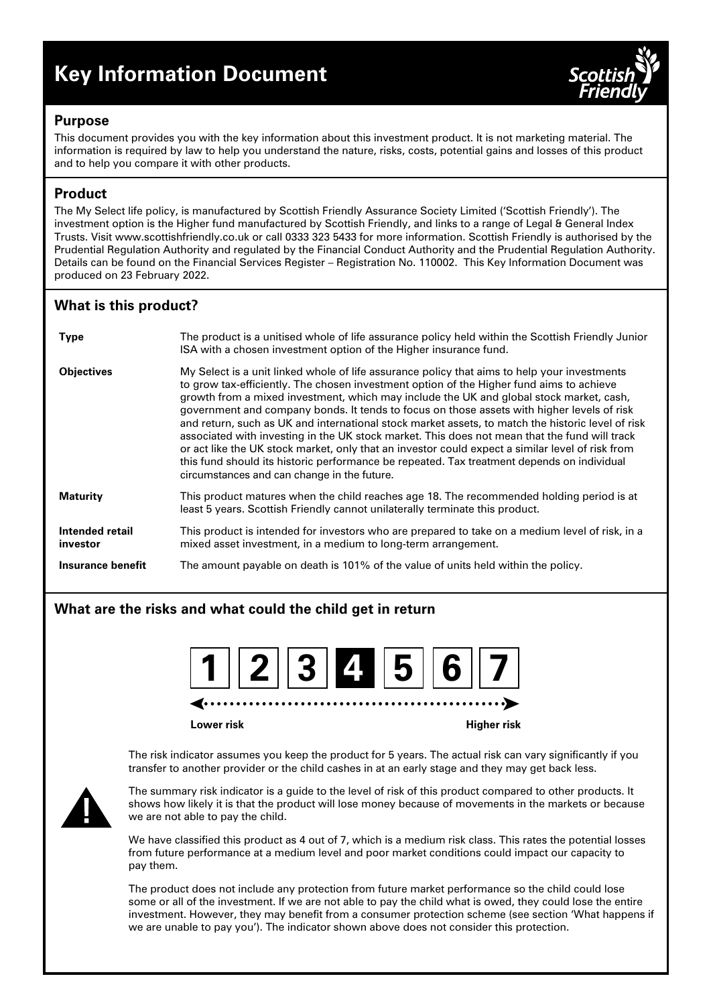# **Key Information Document**



## **Purpose**

This document provides you with the key information about this investment product. It is not marketing material. The information is required by law to help you understand the nature, risks, costs, potential gains and losses of this product and to help you compare it with other products.

## **Product**

The My Select life policy, is manufactured by Scottish Friendly Assurance Society Limited ('Scottish Friendly'). The investment option is the Higher fund manufactured by Scottish Friendly, and links to a range of Legal & General Index Trusts. Visit www.scottishfriendly.co.uk or call 0333 323 5433 for more information. Scottish Friendly is authorised by the Prudential Regulation Authority and regulated by the Financial Conduct Authority and the Prudential Regulation Authority. Details can be found on the Financial Services Register – Registration No. 110002. This Key Information Document was produced on 23 February 2022.

# **What is this product?**

| <b>Type</b>                 | The product is a unitised whole of life assurance policy held within the Scottish Friendly Junior<br>ISA with a chosen investment option of the Higher insurance fund.                                                                                                                                                                                                                                                                                                                                                                                                                                                                                                                                                                                                                                                                   |
|-----------------------------|------------------------------------------------------------------------------------------------------------------------------------------------------------------------------------------------------------------------------------------------------------------------------------------------------------------------------------------------------------------------------------------------------------------------------------------------------------------------------------------------------------------------------------------------------------------------------------------------------------------------------------------------------------------------------------------------------------------------------------------------------------------------------------------------------------------------------------------|
| <b>Objectives</b>           | My Select is a unit linked whole of life assurance policy that aims to help your investments<br>to grow tax-efficiently. The chosen investment option of the Higher fund aims to achieve<br>growth from a mixed investment, which may include the UK and global stock market, cash,<br>government and company bonds. It tends to focus on those assets with higher levels of risk<br>and return, such as UK and international stock market assets, to match the historic level of risk<br>associated with investing in the UK stock market. This does not mean that the fund will track<br>or act like the UK stock market, only that an investor could expect a similar level of risk from<br>this fund should its historic performance be repeated. Tax treatment depends on individual<br>circumstances and can change in the future. |
| <b>Maturity</b>             | This product matures when the child reaches age 18. The recommended holding period is at<br>least 5 years. Scottish Friendly cannot unilaterally terminate this product.                                                                                                                                                                                                                                                                                                                                                                                                                                                                                                                                                                                                                                                                 |
| Intended retail<br>investor | This product is intended for investors who are prepared to take on a medium level of risk, in a<br>mixed asset investment, in a medium to long-term arrangement.                                                                                                                                                                                                                                                                                                                                                                                                                                                                                                                                                                                                                                                                         |
| Insurance benefit           | The amount payable on death is 101% of the value of units held within the policy.                                                                                                                                                                                                                                                                                                                                                                                                                                                                                                                                                                                                                                                                                                                                                        |

## **What are the risks and what could the child get in return**



**Lower risk Higher risk**

The risk indicator assumes you keep the product for 5 years. The actual risk can vary significantly if you transfer to another provider or the child cashes in at an early stage and they may get back less.



The summary risk indicator is a guide to the level of risk of this product compared to other products. It shows how likely it is that the product will lose money because of movements in the markets or because we are not able to pay the child.

We have classified this product as 4 out of 7, which is a medium risk class. This rates the potential losses from future performance at a medium level and poor market conditions could impact our capacity to pay them.

The product does not include any protection from future market performance so the child could lose some or all of the investment. If we are not able to pay the child what is owed, they could lose the entire investment. However, they may benefit from a consumer protection scheme (see section 'What happens if we are unable to pay you'). The indicator shown above does not consider this protection.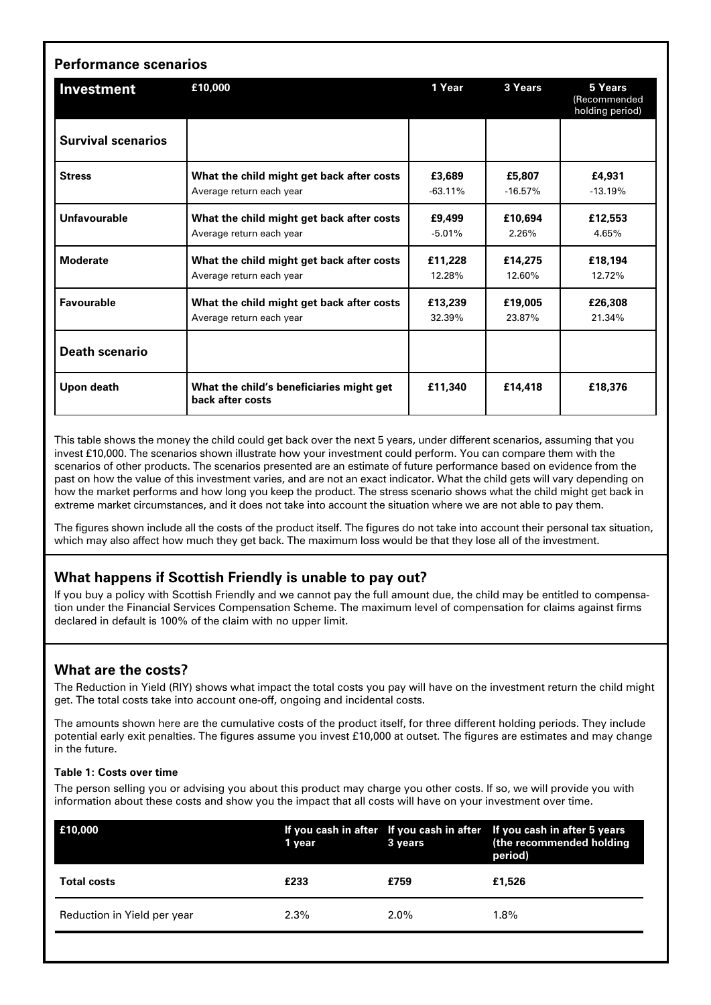| <b>Performance scenarios</b> |                                                                       |                     |                     |                                            |  |  |
|------------------------------|-----------------------------------------------------------------------|---------------------|---------------------|--------------------------------------------|--|--|
| Investment                   | £10,000                                                               | 1 Year              | 3 Years             | 5 Years<br>(Recommended<br>holding period) |  |  |
| <b>Survival scenarios</b>    |                                                                       |                     |                     |                                            |  |  |
| <b>Stress</b>                | What the child might get back after costs<br>Average return each year | £3,689<br>$-63.11%$ | £5,807<br>$-16.57%$ | £4,931<br>$-13.19%$                        |  |  |
| Unfavourable                 | What the child might get back after costs<br>Average return each year | £9,499<br>$-5.01%$  | £10,694<br>2.26%    | £12,553<br>4.65%                           |  |  |
| <b>Moderate</b>              | What the child might get back after costs<br>Average return each year | £11,228<br>12.28%   | £14,275<br>12.60%   | £18,194<br>12.72%                          |  |  |
| Favourable                   | What the child might get back after costs<br>Average return each year | £13.239<br>32.39%   | £19,005<br>23.87%   | £26,308<br>21.34%                          |  |  |
| <b>Death scenario</b>        |                                                                       |                     |                     |                                            |  |  |
| Upon death                   | What the child's beneficiaries might get<br>back after costs          | £11,340             | £14,418             | £18,376                                    |  |  |

This table shows the money the child could get back over the next 5 years, under different scenarios, assuming that you invest £10,000. The scenarios shown illustrate how your investment could perform. You can compare them with the scenarios of other products. The scenarios presented are an estimate of future performance based on evidence from the past on how the value of this investment varies, and are not an exact indicator. What the child gets will vary depending on how the market performs and how long you keep the product. The stress scenario shows what the child might get back in extreme market circumstances, and it does not take into account the situation where we are not able to pay them.

The figures shown include all the costs of the product itself. The figures do not take into account their personal tax situation, which may also affect how much they get back. The maximum loss would be that they lose all of the investment.

## **What happens if Scottish Friendly is unable to pay out?**

If you buy a policy with Scottish Friendly and we cannot pay the full amount due, the child may be entitled to compensation under the Financial Services Compensation Scheme. The maximum level of compensation for claims against firms declared in default is 100% of the claim with no upper limit.

## **What are the costs?**

The Reduction in Yield (RIY) shows what impact the total costs you pay will have on the investment return the child might get. The total costs take into account one-off, ongoing and incidental costs.

The amounts shown here are the cumulative costs of the product itself, for three different holding periods. They include potential early exit penalties. The figures assume you invest £10,000 at outset. The figures are estimates and may change in the future.

#### **Table 1: Costs over time**

The person selling you or advising you about this product may charge you other costs. If so, we will provide you with information about these costs and show you the impact that all costs will have on your investment over time.

| E10,000                     | 1 year  | 3 years | If you cash in after If you cash in after If you cash in after 5 years<br>(the recommended holding<br>period) |
|-----------------------------|---------|---------|---------------------------------------------------------------------------------------------------------------|
| <b>Total costs</b>          | £233    | £759    | £1,526                                                                                                        |
| Reduction in Yield per year | $2.3\%$ | $2.0\%$ | $1.8\%$                                                                                                       |